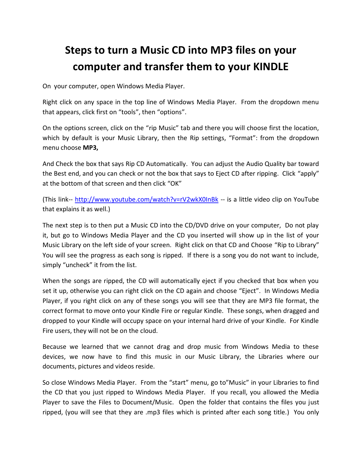## **Steps to turn a Music CD into MP3 files on your computer and transfer them to your KINDLE**

On your computer, open Windows Media Player.

Right click on any space in the top line of Windows Media Player. From the dropdown menu that appears, click first on "tools", then "options".

On the options screen, click on the "rip Music" tab and there you will choose first the location, which by default is your Music Library, then the Rip settings, "Format": from the dropdown menu choose **MP3,**

And Check the box that says Rip CD Automatically. You can adjust the Audio Quality bar toward the Best end, and you can check or not the box that says to Eject CD after ripping. Click "apply" at the bottom of that screen and then click "OK"

(This link-- <http://www.youtube.com/watch?v=rV2wkX0InBk> -- is a little video clip on YouTube that explains it as well.)

The next step is to then put a Music CD into the CD/DVD drive on your computer, Do not play it, but go to Windows Media Player and the CD you inserted will show up in the list of your Music Library on the left side of your screen. Right click on that CD and Choose "Rip to Library" You will see the progress as each song is ripped. If there is a song you do not want to include, simply "uncheck" it from the list.

When the songs are ripped, the CD will automatically eject if you checked that box when you set it up, otherwise you can right click on the CD again and choose "Eject". In Windows Media Player, if you right click on any of these songs you will see that they are MP3 file format, the correct format to move onto your Kindle Fire or regular Kindle. These songs, when dragged and dropped to your Kindle will occupy space on your internal hard drive of your Kindle. For Kindle Fire users, they will not be on the cloud.

Because we learned that we cannot drag and drop music from Windows Media to these devices, we now have to find this music in our Music Library, the Libraries where our documents, pictures and videos reside.

So close Windows Media Player. From the "start" menu, go to"Music" in your Libraries to find the CD that you just ripped to Windows Media Player. If you recall, you allowed the Media Player to save the Files to Document/Music. Open the folder that contains the files you just ripped, (you will see that they are .mp3 files which is printed after each song title.) You only